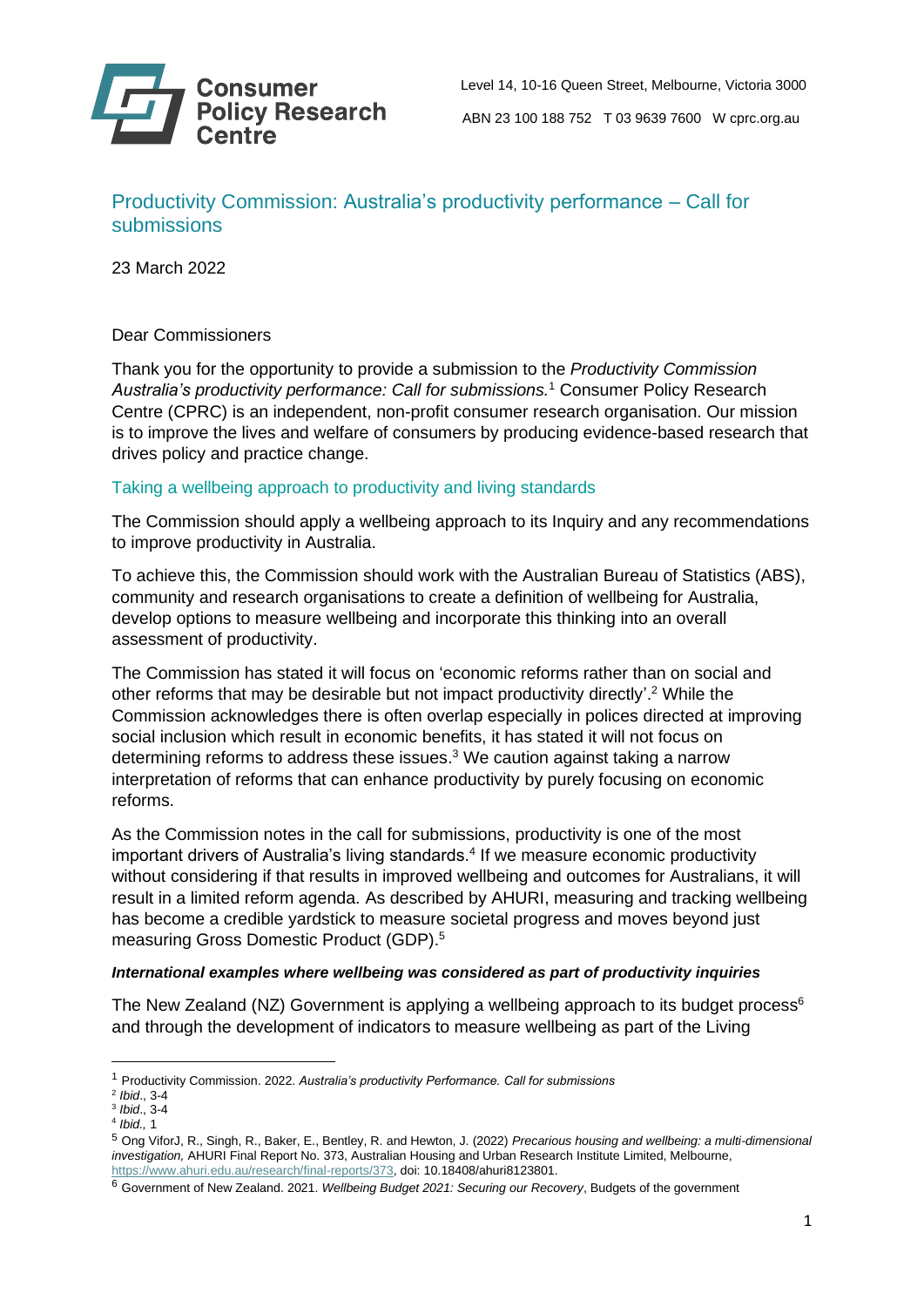

# Productivity Commission: Australia's productivity performance – Call for submissions

23 March 2022

### Dear Commissioners

Thank you for the opportunity to provide a submission to the *Productivity Commission Australia's productivity performance: Call for submissions.*<sup>1</sup> Consumer Policy Research Centre (CPRC) is an independent, non-profit consumer research organisation. Our mission is to improve the lives and welfare of consumers by producing evidence-based research that drives policy and practice change.

#### Taking a wellbeing approach to productivity and living standards

The Commission should apply a wellbeing approach to its Inquiry and any recommendations to improve productivity in Australia.

To achieve this, the Commission should work with the Australian Bureau of Statistics (ABS), community and research organisations to create a definition of wellbeing for Australia, develop options to measure wellbeing and incorporate this thinking into an overall assessment of productivity.

The Commission has stated it will focus on 'economic reforms rather than on social and other reforms that may be desirable but not impact productivity directly'. <sup>2</sup> While the Commission acknowledges there is often overlap especially in polices directed at improving social inclusion which result in economic benefits, it has stated it will not focus on determining reforms to address these issues. <sup>3</sup> We caution against taking a narrow interpretation of reforms that can enhance productivity by purely focusing on economic reforms.

As the Commission notes in the call for submissions, productivity is one of the most important drivers of Australia's living standards. 4 If we measure economic productivity without considering if that results in improved wellbeing and outcomes for Australians, it will result in a limited reform agenda. As described by AHURI, measuring and tracking wellbeing has become a credible yardstick to measure societal progress and moves beyond just measuring Gross Domestic Product (GDP). 5

#### *International examples where wellbeing was considered as part of productivity inquiries*

The New Zealand (NZ) Government is applying a wellbeing approach to its budget process<sup>6</sup> and through the development of indicators to measure wellbeing as part of the Living

<sup>1</sup> Productivity Commission. 2022. *Australia's productivity Performance. Call for submissions*

<sup>2</sup> *Ibid*., 3-4

<sup>3</sup> *Ibid*., 3-4

<sup>4</sup> *Ibid.,* 1

<sup>5</sup> Ong ViforJ, R., Singh, R., Baker, E., Bentley, R. and Hewton, J. (2022) *Precarious housing and wellbeing: a multi-dimensional investigation,* AHURI Final Report No. 373, Australian Housing and Urban Research Institute Limited, Melbourne, https://www.ahuri.edu.au/research/final-reports/373, doi: 10.18408/ahuri8123801.

<sup>6</sup> Government of New Zealand. 2021. *Wellbeing Budget 2021: Securing our Recovery*, Budgets of the government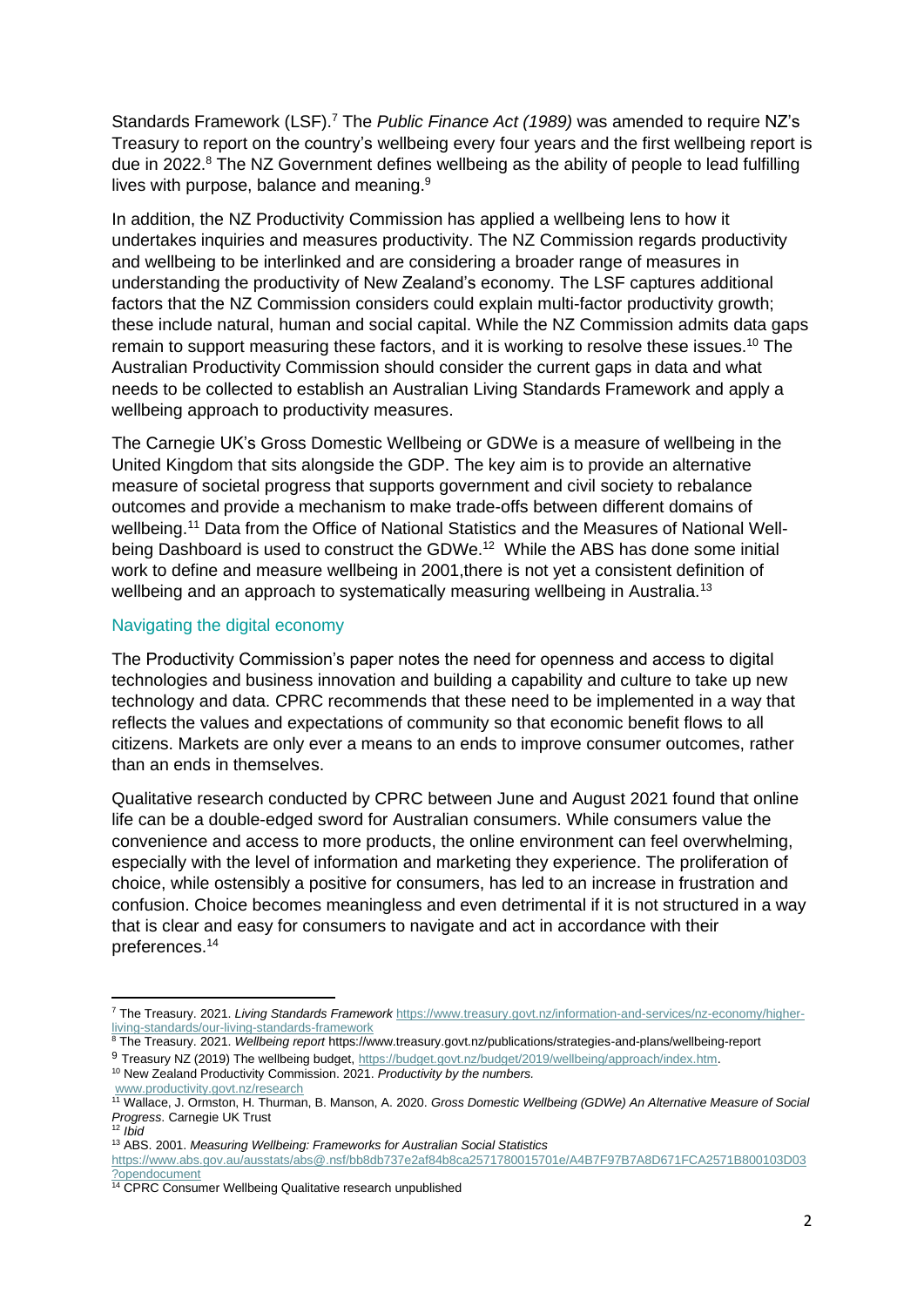Standards Framework (LSF).<sup>7</sup> The *Public Finance Act (1989)* was amended to require NZ's Treasury to report on the country's wellbeing every four years and the first wellbeing report is due in 2022.<sup>8</sup> The NZ Government defines wellbeing as the ability of people to lead fulfilling lives with purpose, balance and meaning.<sup>9</sup>

In addition, the NZ Productivity Commission has applied a wellbeing lens to how it undertakes inquiries and measures productivity. The NZ Commission regards productivity and wellbeing to be interlinked and are considering a broader range of measures in understanding the productivity of New Zealand's economy. The LSF captures additional factors that the NZ Commission considers could explain multi-factor productivity growth; these include natural, human and social capital. While the NZ Commission admits data gaps remain to support measuring these factors, and it is working to resolve these issues.<sup>10</sup> The Australian Productivity Commission should consider the current gaps in data and what needs to be collected to establish an Australian Living Standards Framework and apply a wellbeing approach to productivity measures.

The Carnegie UK's Gross Domestic Wellbeing or GDWe is a measure of wellbeing in the United Kingdom that sits alongside the GDP. The key aim is to provide an alternative measure of societal progress that supports government and civil society to rebalance outcomes and provide a mechanism to make trade-offs between different domains of wellbeing.<sup>11</sup> Data from the Office of National Statistics and the Measures of National Wellbeing Dashboard is used to construct the GDWe.<sup>12</sup> While the ABS has done some initial work to define and measure wellbeing in 2001,there is not yet a consistent definition of wellbeing and an approach to systematically measuring wellbeing in Australia.<sup>13</sup>

#### Navigating the digital economy

The Productivity Commission's paper notes the need for openness and access to digital technologies and business innovation and building a capability and culture to take up new technology and data. CPRC recommends that these need to be implemented in a way that reflects the values and expectations of community so that economic benefit flows to all citizens. Markets are only ever a means to an ends to improve consumer outcomes, rather than an ends in themselves.

Qualitative research conducted by CPRC between June and August 2021 found that online life can be a double-edged sword for Australian consumers. While consumers value the convenience and access to more products, the online environment can feel overwhelming, especially with the level of information and marketing they experience. The proliferation of choice, while ostensibly a positive for consumers, has led to an increase in frustration and confusion. Choice becomes meaningless and even detrimental if it is not structured in a way that is clear and easy for consumers to navigate and act in accordance with their preferences.<sup>14</sup>

<sup>7</sup> The Treasury. 2021. *Living Standards Framework* [https://www.treasury.govt.nz/information-and-services/nz-economy/higher](https://www.treasury.govt.nz/information-and-services/nz-economy/higher-living-standards/our-living-standards-framework)[living-standards/our-living-standards-framework](https://www.treasury.govt.nz/information-and-services/nz-economy/higher-living-standards/our-living-standards-framework)

<sup>8</sup> The Treasury. 2021. Wellbeing report https://www.treasury.govt.nz/publications/strategies-and-plans/wellbeing-report

<sup>9</sup> Treasury NZ (2019) The wellbeing budget, [https://budget.govt.nz/budget/2019/wellbeing/approach/index.htm.](https://budget.govt.nz/budget/2019/wellbeing/approach/index.htm)

<sup>10</sup> New Zealand Productivity Commission. 2021. *Productivity by the numbers.* [www.productivity.govt.nz/research](http://www.productivity.govt.nz/research)

<sup>11</sup> Wallace, J. Ormston, H. Thurman, B. Manson, A. 2020. *Gross Domestic Wellbeing (GDWe) An Alternative Measure of Social Progress*. Carnegie UK Trust

<sup>12</sup> *Ibid* <sup>13</sup> ABS. 2001. *Measuring Wellbeing: Frameworks for Australian Social Statistics*

[https://www.abs.gov.au/ausstats/abs@.nsf/bb8db737e2af84b8ca2571780015701e/A4B7F97B7A8D671FCA2571B800103D03](https://www.abs.gov.au/ausstats/abs@.nsf/bb8db737e2af84b8ca2571780015701e/A4B7F97B7A8D671FCA2571B800103D03?opendocument) [?opendocument](https://www.abs.gov.au/ausstats/abs@.nsf/bb8db737e2af84b8ca2571780015701e/A4B7F97B7A8D671FCA2571B800103D03?opendocument)

<sup>14</sup> CPRC Consumer Wellbeing Qualitative research unpublished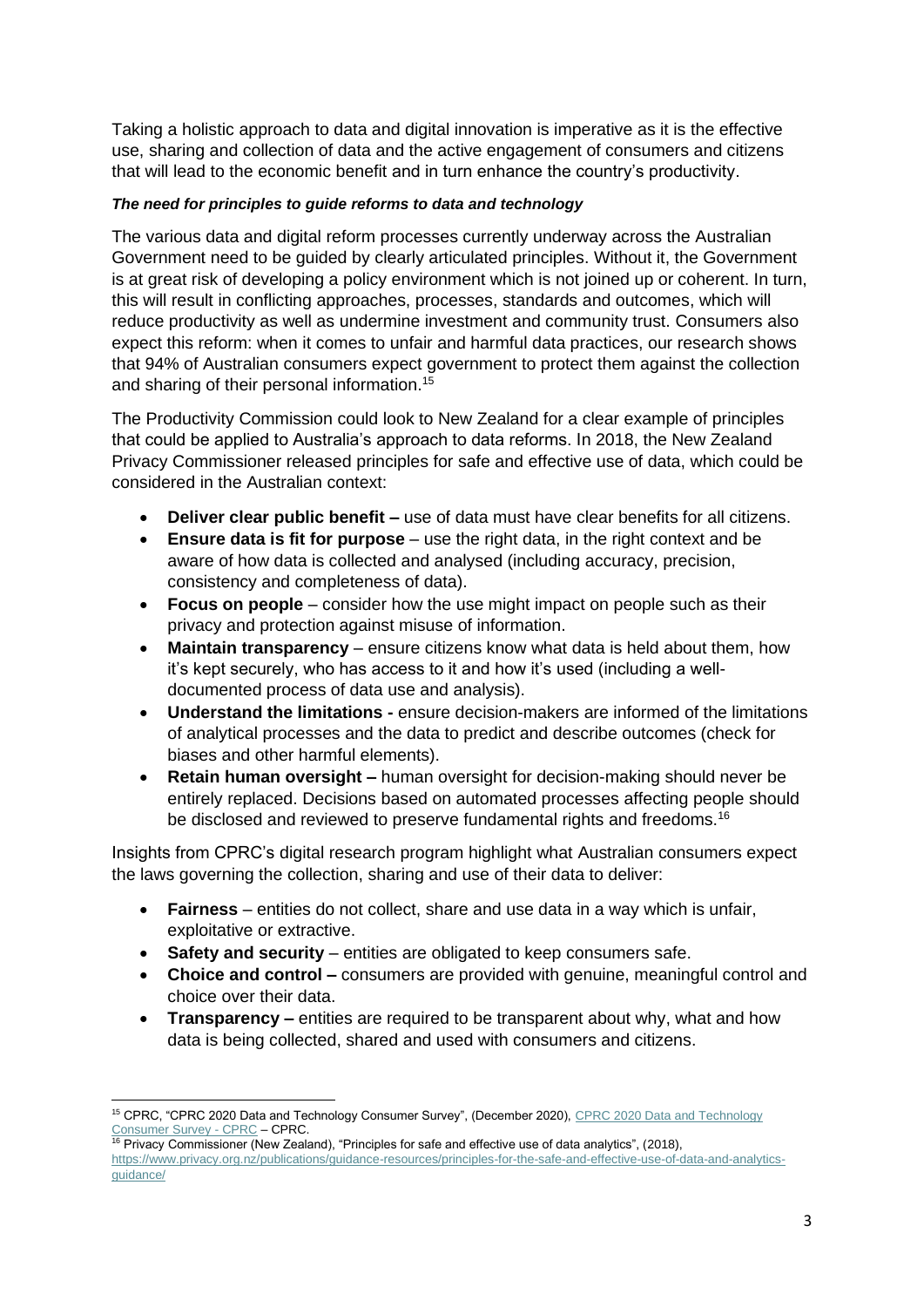Taking a holistic approach to data and digital innovation is imperative as it is the effective use, sharing and collection of data and the active engagement of consumers and citizens that will lead to the economic benefit and in turn enhance the country's productivity.

### *The need for principles to guide reforms to data and technology*

The various data and digital reform processes currently underway across the Australian Government need to be guided by clearly articulated principles. Without it, the Government is at great risk of developing a policy environment which is not joined up or coherent. In turn, this will result in conflicting approaches, processes, standards and outcomes, which will reduce productivity as well as undermine investment and community trust. Consumers also expect this reform: when it comes to unfair and harmful data practices, our research shows that 94% of Australian consumers expect government to protect them against the collection and sharing of their personal information.<sup>15</sup>

The Productivity Commission could look to New Zealand for a clear example of principles that could be applied to Australia's approach to data reforms. In 2018, the New Zealand Privacy Commissioner released principles for safe and effective use of data, which could be considered in the Australian context:

- **Deliver clear public benefit –** use of data must have clear benefits for all citizens.
- **Ensure data is fit for purpose** use the right data, in the right context and be aware of how data is collected and analysed (including accuracy, precision, consistency and completeness of data).
- **Focus on people** consider how the use might impact on people such as their privacy and protection against misuse of information.
- **Maintain transparency** ensure citizens know what data is held about them, how it's kept securely, who has access to it and how it's used (including a welldocumented process of data use and analysis).
- **Understand the limitations -** ensure decision-makers are informed of the limitations of analytical processes and the data to predict and describe outcomes (check for biases and other harmful elements).
- **Retain human oversight –** human oversight for decision-making should never be entirely replaced. Decisions based on automated processes affecting people should be disclosed and reviewed to preserve fundamental rights and freedoms.<sup>16</sup>

Insights from CPRC's digital research program highlight what Australian consumers expect the laws governing the collection, sharing and use of their data to deliver:

- **Fairness** entities do not collect, share and use data in a way which is unfair, exploitative or extractive.
- **Safety and security** entities are obligated to keep consumers safe.
- **Choice and control –** consumers are provided with genuine, meaningful control and choice over their data.
- **Transparency –** entities are required to be transparent about why, what and how data is being collected, shared and used with consumers and citizens.

<sup>&</sup>lt;sup>15</sup> CPRC, "CPRC 2020 Data and Technology Consumer Survey", (December 2020), CPRC 2020 Data and Technology [Consumer Survey -](https://cprc.org.au/publications/cprc-2020-data-and-technology-consumer-survey/) CPRC – CPRC.

 $16$  Privacy Commissioner (New Zealand), "Principles for safe and effective use of data analytics", (2018), [https://www.privacy.org.nz/publications/guidance-resources/principles-for-the-safe-and-effective-use-of-data-and-analytics](https://www.privacy.org.nz/publications/guidance-resources/principles-for-the-safe-and-effective-use-of-data-and-analytics-guidance/)[guidance/](https://www.privacy.org.nz/publications/guidance-resources/principles-for-the-safe-and-effective-use-of-data-and-analytics-guidance/)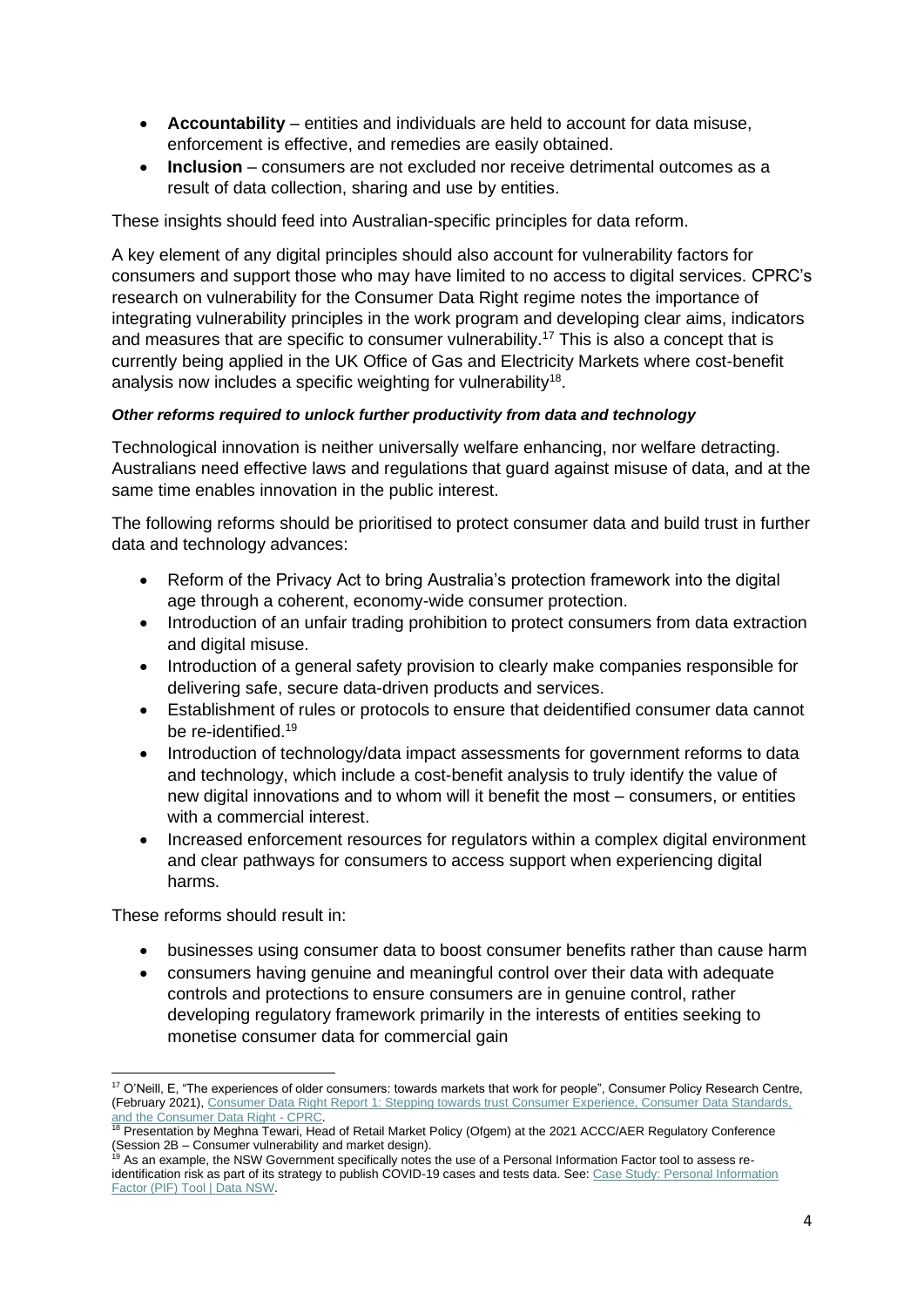- **Accountability**  entities and individuals are held to account for data misuse, enforcement is effective, and remedies are easily obtained.
- **Inclusion** consumers are not excluded nor receive detrimental outcomes as a result of data collection, sharing and use by entities.

These insights should feed into Australian-specific principles for data reform.

A key element of any digital principles should also account for vulnerability factors for consumers and support those who may have limited to no access to digital services. CPRC's research on vulnerability for the Consumer Data Right regime notes the importance of integrating vulnerability principles in the work program and developing clear aims, indicators and measures that are specific to consumer vulnerability.<sup>17</sup> This is also a concept that is currently being applied in the UK Office of Gas and Electricity Markets where cost-benefit analysis now includes a specific weighting for vulnerability<sup>18</sup>.

### *Other reforms required to unlock further productivity from data and technology*

Technological innovation is neither universally welfare enhancing, nor welfare detracting. Australians need effective laws and regulations that guard against misuse of data, and at the same time enables innovation in the public interest.

The following reforms should be prioritised to protect consumer data and build trust in further data and technology advances:

- Reform of the Privacy Act to bring Australia's protection framework into the digital age through a coherent, economy-wide consumer protection.
- Introduction of an unfair trading prohibition to protect consumers from data extraction and digital misuse.
- Introduction of a general safety provision to clearly make companies responsible for delivering safe, secure data-driven products and services.
- Establishment of rules or protocols to ensure that deidentified consumer data cannot be re-identified. 19
- Introduction of technology/data impact assessments for government reforms to data and technology, which include a cost-benefit analysis to truly identify the value of new digital innovations and to whom will it benefit the most – consumers, or entities with a commercial interest.
- Increased enforcement resources for regulators within a complex digital environment and clear pathways for consumers to access support when experiencing digital harms.

These reforms should result in:

- businesses using consumer data to boost consumer benefits rather than cause harm
- consumers having genuine and meaningful control over their data with adequate controls and protections to ensure consumers are in genuine control, rather developing regulatory framework primarily in the interests of entities seeking to monetise consumer data for commercial gain

<sup>&</sup>lt;sup>17</sup> O'Neill, E, "The experiences of older consumers: towards markets that work for people", Consumer Policy Research Centre, (February 2021), [Consumer Data Right Report 1: Stepping towards trust Consumer Experience, Consumer Data Standards,](https://cprc.org.au/projects/consumer-data-right-report-1-stepping-towards-trust-consumer-experience-consumer-data-standards-and-the-consumer-data-right/)  [and the Consumer Data Right -](https://cprc.org.au/projects/consumer-data-right-report-1-stepping-towards-trust-consumer-experience-consumer-data-standards-and-the-consumer-data-right/) CPRC.

<sup>&</sup>lt;sup>18</sup> Presentation by Meghna Tewari, Head of Retail Market Policy (Ofgem) at the 2021 ACCC/AER Regulatory Conference (Session 2B – Consumer vulnerability and market design).

<sup>&</sup>lt;sup>19</sup> As an example, the NSW Government specifically notes the use of a Personal Information Factor tool to assess reidentification risk as part of its strategy to publish COVID-19 cases and tests data. See: Case Study: Personal Information [Factor \(PIF\) Tool | Data](https://data.nsw.gov.au/nsw-government-data-strategy/case-studies/case-study-personal-information-factor-pif-tool) NSW.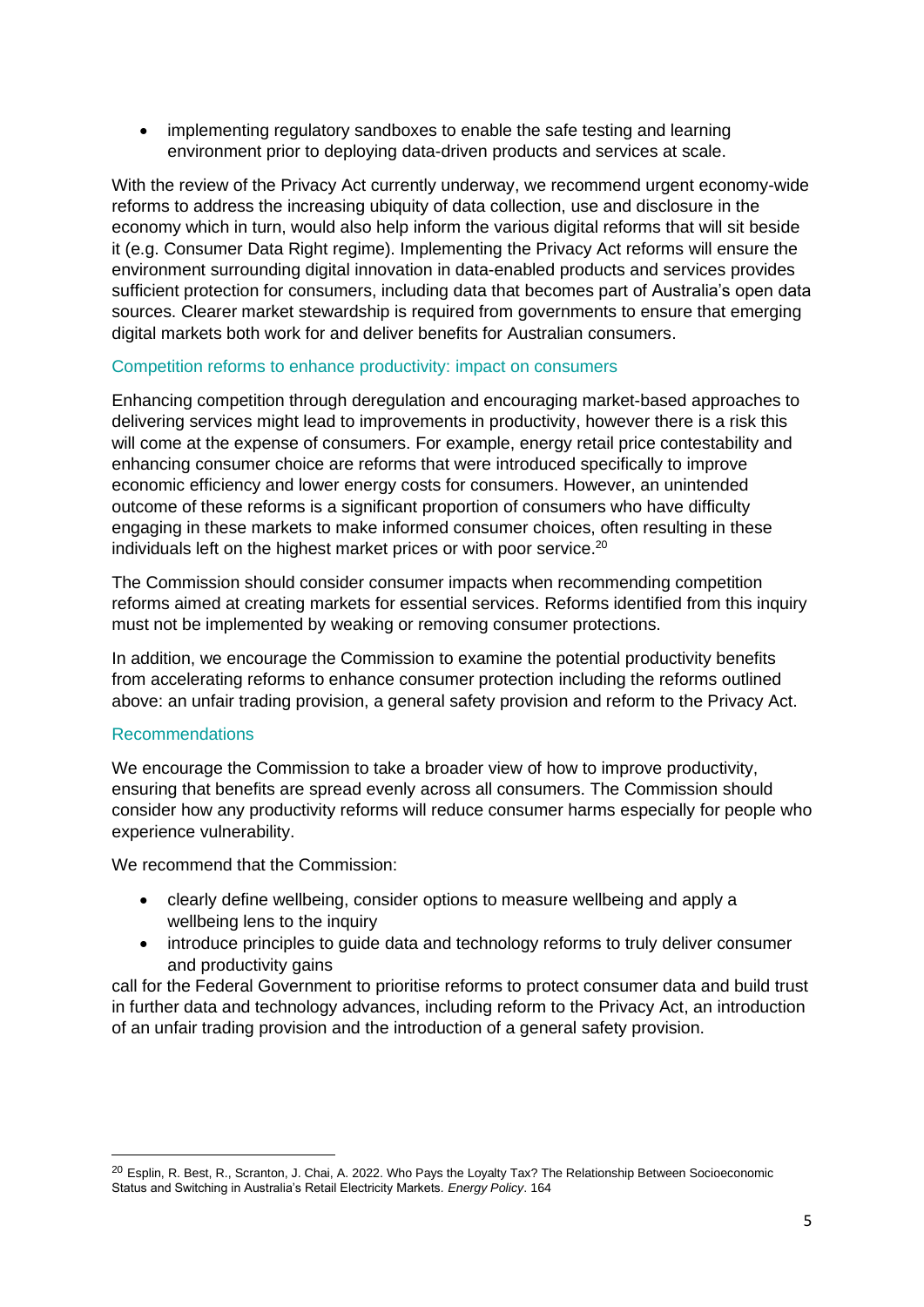• implementing regulatory sandboxes to enable the safe testing and learning environment prior to deploying data-driven products and services at scale.

With the review of the Privacy Act currently underway, we recommend urgent economy-wide reforms to address the increasing ubiquity of data collection, use and disclosure in the economy which in turn, would also help inform the various digital reforms that will sit beside it (e.g. Consumer Data Right regime). Implementing the Privacy Act reforms will ensure the environment surrounding digital innovation in data-enabled products and services provides sufficient protection for consumers, including data that becomes part of Australia's open data sources. Clearer market stewardship is required from governments to ensure that emerging digital markets both work for and deliver benefits for Australian consumers.

## Competition reforms to enhance productivity: impact on consumers

Enhancing competition through deregulation and encouraging market-based approaches to delivering services might lead to improvements in productivity, however there is a risk this will come at the expense of consumers. For example, energy retail price contestability and enhancing consumer choice are reforms that were introduced specifically to improve economic efficiency and lower energy costs for consumers. However, an unintended outcome of these reforms is a significant proportion of consumers who have difficulty engaging in these markets to make informed consumer choices, often resulting in these individuals left on the highest market prices or with poor service. 20

The Commission should consider consumer impacts when recommending competition reforms aimed at creating markets for essential services. Reforms identified from this inquiry must not be implemented by weaking or removing consumer protections.

In addition, we encourage the Commission to examine the potential productivity benefits from accelerating reforms to enhance consumer protection including the reforms outlined above: an unfair trading provision, a general safety provision and reform to the Privacy Act.

## Recommendations

We encourage the Commission to take a broader view of how to improve productivity, ensuring that benefits are spread evenly across all consumers. The Commission should consider how any productivity reforms will reduce consumer harms especially for people who experience vulnerability.

We recommend that the Commission:

- clearly define wellbeing, consider options to measure wellbeing and apply a wellbeing lens to the inquiry
- introduce principles to guide data and technology reforms to truly deliver consumer and productivity gains

call for the Federal Government to prioritise reforms to protect consumer data and build trust in further data and technology advances, including reform to the Privacy Act, an introduction of an unfair trading provision and the introduction of a general safety provision.

<sup>&</sup>lt;sup>20</sup> Esplin, R. Best, R., Scranton, J. Chai, A. 2022. Who Pays the Loyalty Tax? The Relationship Between Socioeconomic Status and Switching in Australia's Retail Electricity Markets*. Energy Policy*. 164